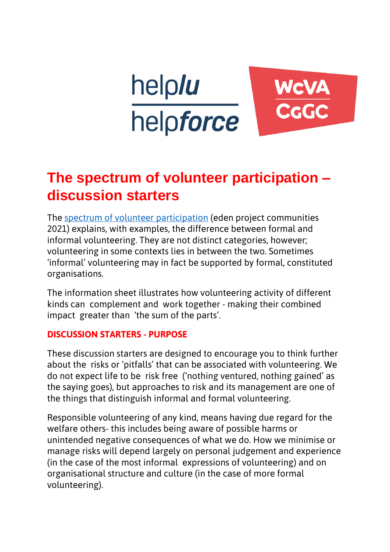

# **The spectrum of volunteer participation – discussion starters**

The [spectrum of volunteer participation](https://www.edenprojectcommunities.com/sites/default/files/volunteer_report.pdf) (eden project communities 2021) explains, with examples, the difference between formal and informal volunteering. They are not distinct categories, however; volunteering in some contexts lies in between the two. Sometimes 'informal' volunteering may in fact be supported by formal, constituted organisations.

The information sheet illustrates how volunteering activity of different kinds can complement and work together - making their combined impact greater than 'the sum of the parts'.

#### **DISCUSSION STARTERS - PURPOSE**

These discussion starters are designed to encourage you to think further about the risks or 'pitfalls' that can be associated with volunteering. We do not expect life to be risk free ('nothing ventured, nothing gained' as the saying goes), but approaches to risk and its management are one of the things that distinguish informal and formal volunteering.

Responsible volunteering of any kind, means having due regard for the welfare others- this includes being aware of possible harms or unintended negative consequences of what we do. How we minimise or manage risks will depend largely on personal judgement and experience (in the case of the most informal expressions of volunteering) and on organisational structure and culture (in the case of more formal volunteering).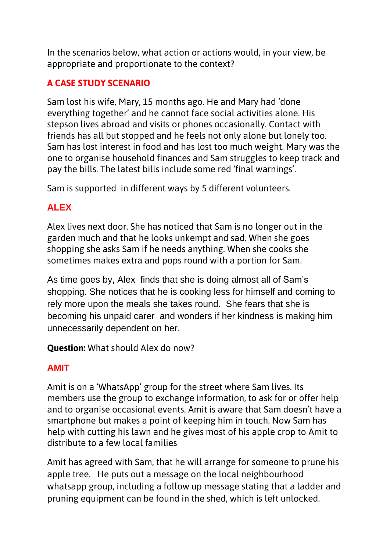In the scenarios below, what action or actions would, in your view, be appropriate and proportionate to the context?

#### **A CASE STUDY SCENARIO**

Sam lost his wife, Mary, 15 months ago. He and Mary had 'done everything together' and he cannot face social activities alone. His stepson lives abroad and visits or phones occasionally. Contact with friends has all but stopped and he feels not only alone but lonely too. Sam has lost interest in food and has lost too much weight. Mary was the one to organise household finances and Sam struggles to keep track and pay the bills. The latest bills include some red 'final warnings'.

Sam is supported in different ways by 5 different volunteers.

### **ALEX**

Alex lives next door. She has noticed that Sam is no longer out in the garden much and that he looks unkempt and sad. When she goes shopping she asks Sam if he needs anything. When she cooks she sometimes makes extra and pops round with a portion for Sam.

As time goes by, Alex finds that she is doing almost all of Sam's shopping. She notices that he is cooking less for himself and coming to rely more upon the meals she takes round. She fears that she is becoming his unpaid carer and wonders if her kindness is making him unnecessarily dependent on her.

**Question:** What should Alex do now?

## **AMIT**

Amit is on a 'WhatsApp' group for the street where Sam lives. Its members use the group to exchange information, to ask for or offer help and to organise occasional events. Amit is aware that Sam doesn't have a smartphone but makes a point of keeping him in touch. Now Sam has help with cutting his lawn and he gives most of his apple crop to Amit to distribute to a few local families

Amit has agreed with Sam, that he will arrange for someone to prune his apple tree. He puts out a message on the local neighbourhood whatsapp group, including a follow up message stating that a ladder and pruning equipment can be found in the shed, which is left unlocked.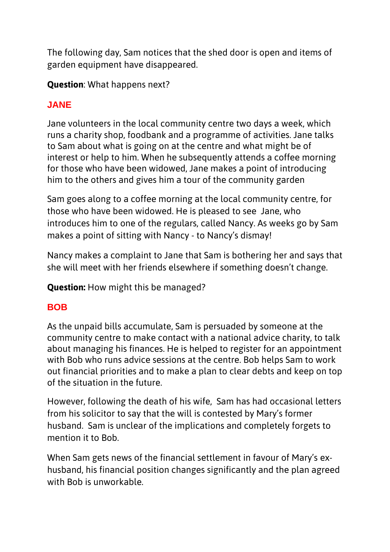The following day, Sam notices that the shed door is open and items of garden equipment have disappeared.

**Question**: What happens next?

# **JANE**

Jane volunteers in the local community centre two days a week, which runs a charity shop, foodbank and a programme of activities. Jane talks to Sam about what is going on at the centre and what might be of interest or help to him. When he subsequently attends a coffee morning for those who have been widowed, Jane makes a point of introducing him to the others and gives him a tour of the community garden

Sam goes along to a coffee morning at the local community centre, for those who have been widowed. He is pleased to see Jane, who introduces him to one of the regulars, called Nancy. As weeks go by Sam makes a point of sitting with Nancy - to Nancy's dismay!

Nancy makes a complaint to Jane that Sam is bothering her and says that she will meet with her friends elsewhere if something doesn't change.

**Question:** How might this be managed?

# **BOB**

As the unpaid bills accumulate, Sam is persuaded by someone at the community centre to make contact with a national advice charity, to talk about managing his finances. He is helped to register for an appointment with Bob who runs advice sessions at the centre. Bob helps Sam to work out financial priorities and to make a plan to clear debts and keep on top of the situation in the future.

However, following the death of his wife, Sam has had occasional letters from his solicitor to say that the will is contested by Mary's former husband. Sam is unclear of the implications and completely forgets to mention it to Bob.

When Sam gets news of the financial settlement in favour of Mary's exhusband, his financial position changes significantly and the plan agreed with Bob is unworkable.